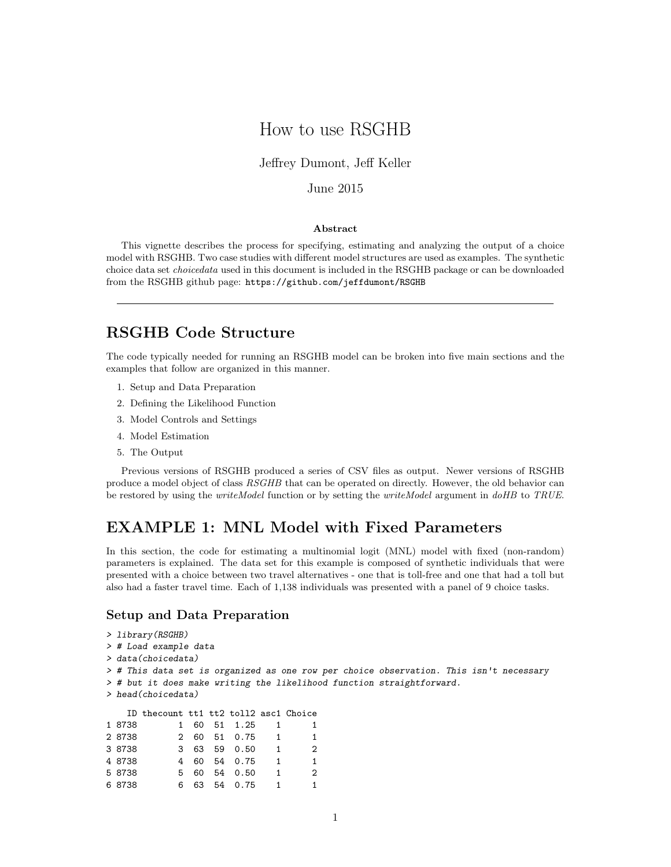# How to use RSGHB

Jeffrey Dumont, Jeff Keller

# June 2015

#### Abstract

This vignette describes the process for specifying, estimating and analyzing the output of a choice model with RSGHB. Two case studies with different model structures are used as examples. The synthetic choice data set choicedata used in this document is included in the RSGHB package or can be downloaded from the RSGHB github page: https://github.com/jeffdumont/RSGHB

# RSGHB Code Structure

The code typically needed for running an RSGHB model can be broken into five main sections and the examples that follow are organized in this manner.

- 1. Setup and Data Preparation
- 2. Defining the Likelihood Function
- 3. Model Controls and Settings
- 4. Model Estimation
- 5. The Output

Previous versions of RSGHB produced a series of CSV files as output. Newer versions of RSGHB produce a model object of class RSGHB that can be operated on directly. However, the old behavior can be restored by using the writeModel function or by setting the writeModel argument in doHB to TRUE.

# EXAMPLE 1: MNL Model with Fixed Parameters

In this section, the code for estimating a multinomial logit (MNL) model with fixed (non-random) parameters is explained. The data set for this example is composed of synthetic individuals that were presented with a choice between two travel alternatives - one that is toll-free and one that had a toll but also had a faster travel time. Each of 1,138 individuals was presented with a panel of 9 choice tasks.

### Setup and Data Preparation

```
> library(RSGHB)
> # Load example data
> data(choicedata)
> # This data set is organized as one row per choice observation. This isn't necessary
> # but it does make writing the likelihood function straightforward.
> head(choicedata)
    ID thecount tt1 tt2 toll2 asc1 Choice
1,8738 1,60,51,1.25 1
```

| <b>1000</b> |  |              |     |   |
|-------------|--|--------------|-----|---|
| 2 8738      |  | 2 60 51 0.75 | - 1 | 1 |
| 3 8738      |  | 3 63 59 0.50 |     | 2 |
| 4 8738      |  | 4 60 54 0.75 |     | 1 |
| 5 8738      |  | 5 60 54 0.50 |     | 2 |
| 6 8738      |  | 6 63 54 0.75 |     | 1 |
|             |  |              |     |   |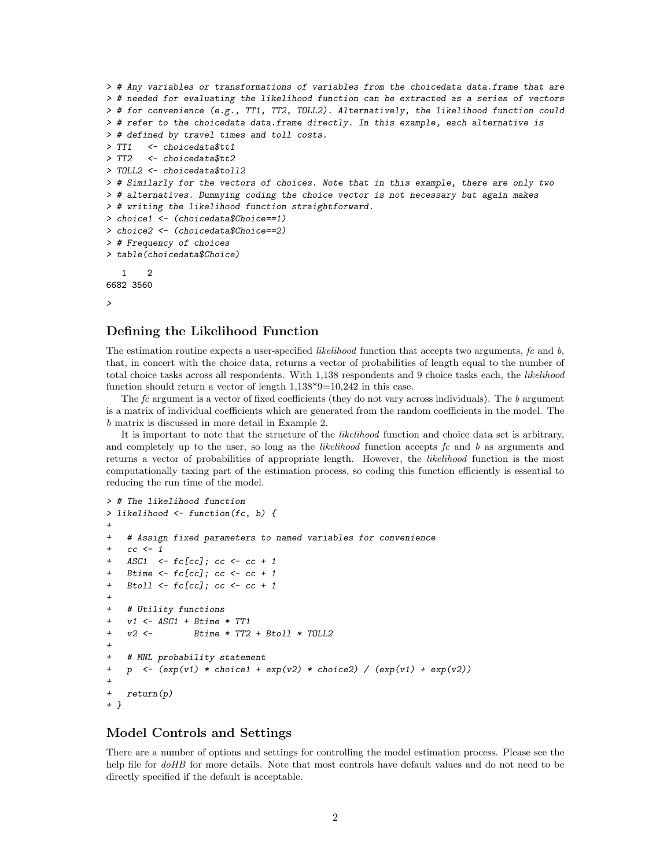```
> # Any variables or transformations of variables from the choicedata data.frame that are
> # needed for evaluating the likelihood function can be extracted as a series of vectors
> # for convenience (e.g., TT1, TT2, TOLL2). Alternatively, the likelihood function could
> # refer to the choicedata data.frame directly. In this example, each alternative is
> # defined by travel times and toll costs.
> TT1 <- choicedata$tt1
> TT2 <- choicedata$tt2
> TOLL2 <- choicedata$toll2
> # Similarly for the vectors of choices. Note that in this example, there are only two
> # alternatives. Dummying coding the choice vector is not necessary but again makes
> # writing the likelihood function straightforward.
> choice1 <- (choicedata$Choice==1)
> choice2 <- (choicedata$Choice==2)
> # Frequency of choices
> table(choicedata$Choice)
   1 2
6682 3560
>
```
# Defining the Likelihood Function

The estimation routine expects a user-specified *likelihood* function that accepts two arguments,  $fc$  and  $b$ , that, in concert with the choice data, returns a vector of probabilities of length equal to the number of total choice tasks across all respondents. With 1,138 respondents and 9 choice tasks each, the *likelihood* function should return a vector of length 1,138\*9=10,242 in this case.

The  $fc$  argument is a vector of fixed coefficients (they do not vary across individuals). The  $b$  argument is a matrix of individual coefficients which are generated from the random coefficients in the model. The b matrix is discussed in more detail in Example 2.

It is important to note that the structure of the likelihood function and choice data set is arbitrary, and completely up to the user, so long as the *likelihood* function accepts  $fc$  and  $b$  as arguments and returns a vector of probabilities of appropriate length. However, the likelihood function is the most computationally taxing part of the estimation process, so coding this function efficiently is essential to reducing the run time of the model.

```
> # The likelihood function
> likelihood <- function(fc, b) {
+
+ # Assign fixed parameters to named variables for convenience
+ cc \leq 1
+ ASC1 <- fc[cc]; cc <- cc + 1
+ Btime \leftarrow fc[cc]; cc \leftarrow cc + 1
+ Btoll \leftarrow fc[cc]; cc \leftarrow cc +1+
+ # Utility functions
+ v1 <- ASC1 + Btime * TT1
    v2 <- Btime * TT2 + Btoll * TOLL2
+
+ # MNL probability statement
+ p \leftarrow (exp(v1) * choice1 + exp(v2) * choice2) / (exp(v1) + exp(v2))+
+ return(p)
+ }
```
### Model Controls and Settings

There are a number of options and settings for controlling the model estimation process. Please see the help file for *doHB* for more details. Note that most controls have default values and do not need to be directly specified if the default is acceptable.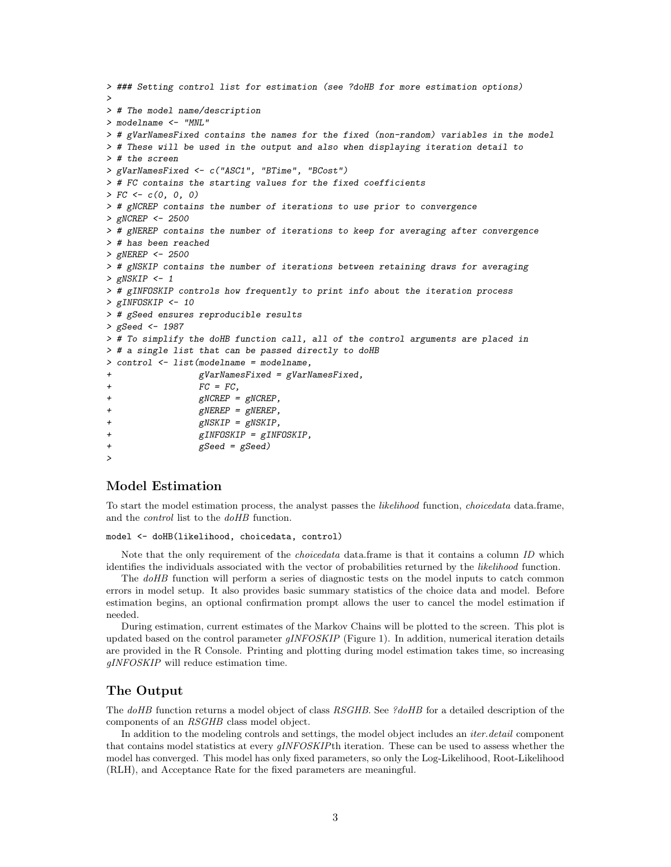```
> ### Setting control list for estimation (see ?doHB for more estimation options)
>
> # The model name/description
> modelname <- "MNL"
> # gVarNamesFixed contains the names for the fixed (non-random) variables in the model
> # These will be used in the output and also when displaying iteration detail to
> # the screen
> gVarNamesFixed <- c("ASC1", "BTime", "BCost")
> # FC contains the starting values for the fixed coefficients
> FC < -c(0, 0, 0)> # gNCREP contains the number of iterations to use prior to convergence
> gNCREP <- 2500
> # gNEREP contains the number of iterations to keep for averaging after convergence
> # has been reached
> gNEREP <- 2500
> # gNSKIP contains the number of iterations between retaining draws for averaging
> gNSKIP <-1> # gINFOSKIP controls how frequently to print info about the iteration process
> gINFOSKIP <- 10
> # gSeed ensures reproducible results
> gSeed <- 1987
> # To simplify the doHB function call, all of the control arguments are placed in
> # a single list that can be passed directly to doHB
> control <- list(modelname = modelname,
                gVarNamesFixed = gVarNamesFixed,FC = FC,
+ gNCREP = gNCREP,
+ gNEREP = gNEREP,
+ gNSKIP = gNSKIP,
+ gINFOSKIP = gINFOSKIP,
+ gSeed = gSeed)
>
```
# Model Estimation

To start the model estimation process, the analyst passes the likelihood function, choicedata data.frame, and the control list to the doHB function.

```
model <- doHB(likelihood, choicedata, control)
```
Note that the only requirement of the *choicedata* data.frame is that it contains a column ID which identifies the individuals associated with the vector of probabilities returned by the likelihood function.

The *doHB* function will perform a series of diagnostic tests on the model inputs to catch common errors in model setup. It also provides basic summary statistics of the choice data and model. Before estimation begins, an optional confirmation prompt allows the user to cancel the model estimation if needed.

During estimation, current estimates of the Markov Chains will be plotted to the screen. This plot is updated based on the control parameter  $gINFOSKIP$  (Figure 1). In addition, numerical iteration details are provided in the R Console. Printing and plotting during model estimation takes time, so increasing gINFOSKIP will reduce estimation time.

#### The Output

The doHB function returns a model object of class RSGHB. See ?doHB for a detailed description of the components of an RSGHB class model object.

In addition to the modeling controls and settings, the model object includes an *iter.detail* component that contains model statistics at every gINFOSKIPth iteration. These can be used to assess whether the model has converged. This model has only fixed parameters, so only the Log-Likelihood, Root-Likelihood (RLH), and Acceptance Rate for the fixed parameters are meaningful.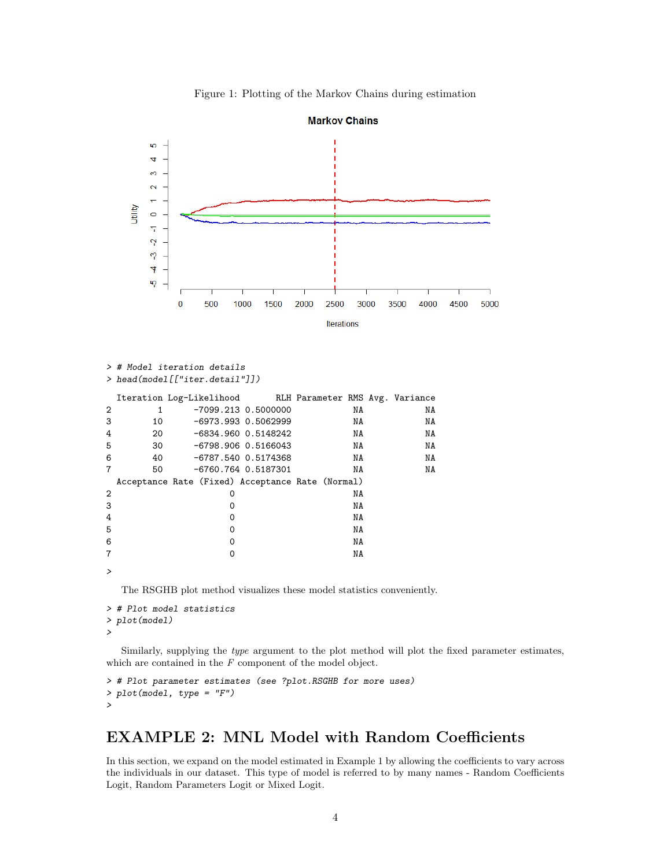



**Markov Chains** 

```
>
```
The RSGHB plot method visualizes these model statistics conveniently.

> # Plot model statistics > plot(model) >

Similarly, supplying the type argument to the plot method will plot the fixed parameter estimates, which are contained in the  ${\cal F}$  component of the model object.

```
> # Plot parameter estimates (see ?plot.RSGHB for more uses)
> plot(model, type = "F")
>
```
7 0 NA

# EXAMPLE 2: MNL Model with Random Coefficients

In this section, we expand on the model estimated in Example 1 by allowing the coefficients to vary across the individuals in our dataset. This type of model is referred to by many names - Random Coefficients Logit, Random Parameters Logit or Mixed Logit.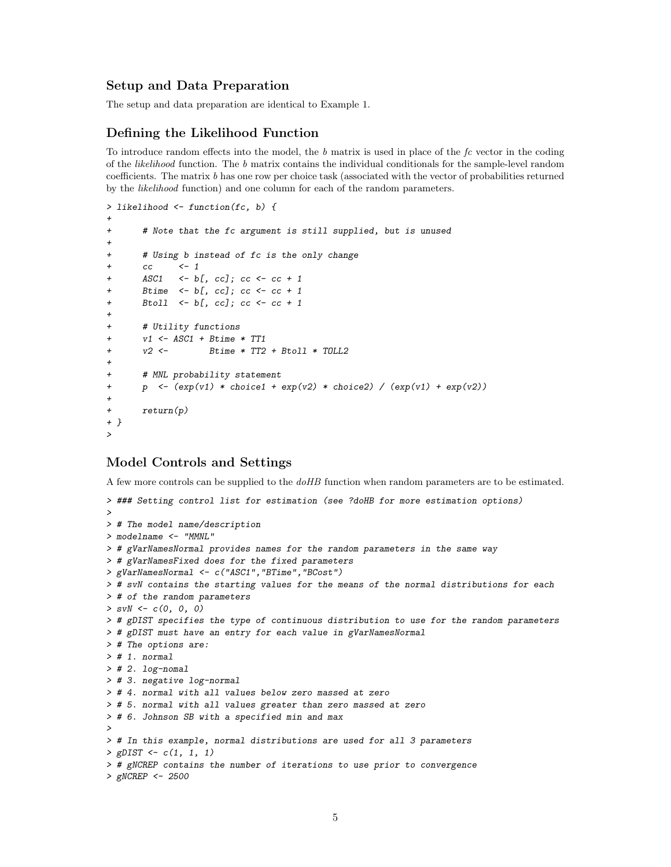## Setup and Data Preparation

The setup and data preparation are identical to Example 1.

## Defining the Likelihood Function

To introduce random effects into the model, the  $b$  matrix is used in place of the  $fc$  vector in the coding of the likelihood function. The b matrix contains the individual conditionals for the sample-level random coefficients. The matrix b has one row per choice task (associated with the vector of probabilities returned by the likelihood function) and one column for each of the random parameters.

```
> likelihood <- function(fc, b) {
+
+ # Note that the fc argument is still supplied, but is unused
+
+ # Using b instead of fc is the only change
+ cc <-1+ ASC1 <- b[, cc]; cc <- cc + 1
+ Btime <- b[, cc]; cc <- cc + 1
+ Btoll <- b[, cc]; cc <- cc + 1
+
+ # Utility functions
+ v1 <- ASC1 + Btime * TT1
+ v2 <- Btime * TT2 + Btoll * TOLL2
+
+ # MNL probability statement
+ p <- (exp(v1) * choice1 + exp(v2) * choice2) / (exp(v1) + exp(v2))+
+ return(p)
+ }
>
```
# Model Controls and Settings

A few more controls can be supplied to the doHB function when random parameters are to be estimated.

```
> ### Setting control list for estimation (see ?doHB for more estimation options)
>
> # The model name/description
> modelname <- "MMNL"
> # gVarNamesNormal provides names for the random parameters in the same way
> # gVarNamesFixed does for the fixed parameters
> gVarNamesNormal <- c("ASC1","BTime","BCost")
> # svN contains the starting values for the means of the normal distributions for each
> # of the random parameters
> svN <- c(0, 0, 0)
> # gDIST specifies the type of continuous distribution to use for the random parameters
> # gDIST must have an entry for each value in gVarNamesNormal
> # The options are:
> # 1. normal
> # 2. log-nomal
> # 3. negative log-normal
> # 4. normal with all values below zero massed at zero
> # 5. normal with all values greater than zero massed at zero
> # 6. Johnson SB with a specified min and max
>
> # In this example, normal distributions are used for all 3 parameters
> gDIST <- c(1, 1, 1)
> # gNCREP contains the number of iterations to use prior to convergence
> gNCREP <- 2500
```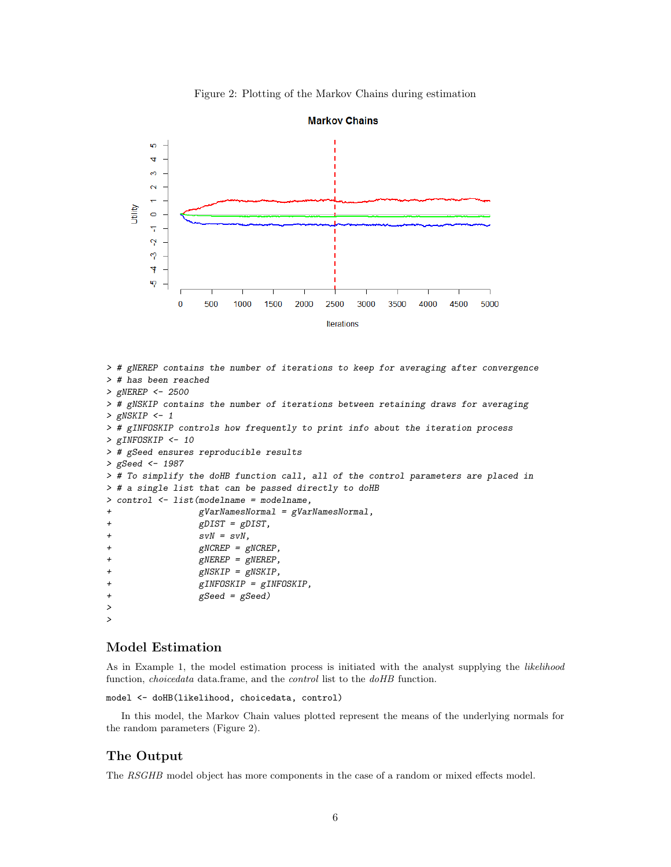



> # gNEREP contains the number of iterations to keep for averaging after convergence > # has been reached > gNEREP <- 2500 > # gNSKIP contains the number of iterations between retaining draws for averaging  $>$  gNSKIP  $<-1$ > # gINFOSKIP controls how frequently to print info about the iteration process > gINFOSKIP <- 10 > # gSeed ensures reproducible results > gSeed <- 1987 > # To simplify the doHB function call, all of the control parameters are placed in > # a single list that can be passed directly to doHB > control <- list(modelname = modelname, + gVarNamesNormal = gVarNamesNormal, + gDIST = gDIST, +  $s \nabla N = s \nabla N$ , + gNCREP = gNCREP, + gNEREP = gNEREP, + gNSKIP = gNSKIP, + gINFOSKIP = gINFOSKIP, + gSeed = gSeed) > >

#### Model Estimation

As in Example 1, the model estimation process is initiated with the analyst supplying the likelihood function, *choicedata* data.frame, and the *control* list to the  $doHB$  function.

```
model <- doHB(likelihood, choicedata, control)
```
In this model, the Markov Chain values plotted represent the means of the underlying normals for the random parameters (Figure 2).

### The Output

The RSGHB model object has more components in the case of a random or mixed effects model.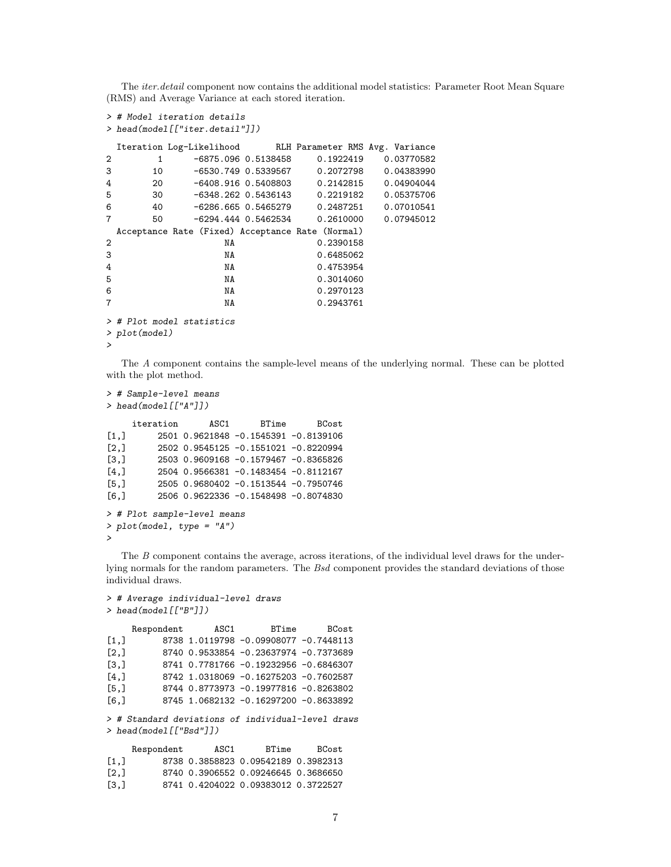The *iter.detail* component now contains the additional model statistics: Parameter Root Mean Square (RMS) and Average Variance at each stored iteration.

```
> # Model iteration details
> head(model[["iter.detail"]])
 Iteration Log-Likelihood RLH Parameter RMS Avg. Variance
2 1 -6875.096 0.5138458 0.1922419 0.03770582
3 10 -6530.749 0.5339567 0.2072798 0.04383990
4 20 -6408.916 0.5408803 0.2142815 0.04904044
5 30 -6348.262 0.5436143 0.2219182 0.05375706
6 40 -6286.665 0.5465279 0.2487251 0.07010541
7 50 -6294.444 0.5462534 0.2610000 0.07945012
 Acceptance Rate (Fixed) Acceptance Rate (Normal)
2 NA 0.2390158
3 NA 0.6485062
4 NA 0.4753954
5 NA 0.3014060
6 NA 0.2970123
7 NA 0.2943761
> # Plot model statistics
> plot(model)
>
```
The A component contains the sample-level means of the underlying normal. These can be plotted with the plot method.

```
> # Sample-level means
> head(model[["A"]])
```

|                              |  |  | iteration ASC1 BTime                 | BCost |  |  |
|------------------------------|--|--|--------------------------------------|-------|--|--|
| [1,]                         |  |  | 2501 0.9621848 -0.1545391 -0.8139106 |       |  |  |
| [2,]                         |  |  | 2502 0.9545125 -0.1551021 -0.8220994 |       |  |  |
| $\lceil 3.1 \rceil$          |  |  | 2503 0.9609168 -0.1579467 -0.8365826 |       |  |  |
| [4,]                         |  |  | 2504 0.9566381 -0.1483454 -0.8112167 |       |  |  |
| [5.1]                        |  |  | 2505 0.9680402 -0.1513544 -0.7950746 |       |  |  |
| [6.1]                        |  |  | 2506 0.9622336 -0.1548498 -0.8074830 |       |  |  |
| > # Plot sample-level means  |  |  |                                      |       |  |  |
| $> plot (model, type = "A")$ |  |  |                                      |       |  |  |

```
>
```
The B component contains the average, across iterations, of the individual level draws for the underlying normals for the random parameters. The Bsd component provides the standard deviations of those individual draws.

```
> # Average individual-level draws
> head(model[["B"]])
    Respondent ASC1 BTime BCost
[1,] 8738 1.0119798 -0.09908077 -0.7448113
[2,] 8740 0.9533854 -0.23637974 -0.7373689
[3,] 8741 0.7781766 -0.19232956 -0.6846307
[4,] 8742 1.0318069 -0.16275203 -0.7602587
[5,] 8744 0.8773973 -0.19977816 -0.8263802
[6,] 8745 1.0682132 -0.16297200 -0.8633892
> # Standard deviations of individual-level draws
> head(model[["Bsd"]])
```

|                     | Respondent | ASC1 | <b>BTime</b>                        | BCost |
|---------------------|------------|------|-------------------------------------|-------|
| $\lceil 1.1 \rceil$ |            |      | 8738 0.3858823 0.09542189 0.3982313 |       |
| $\lceil 2.1 \rceil$ |            |      | 8740 0.3906552 0.09246645 0.3686650 |       |
| $\lceil 3.1 \rceil$ |            |      | 8741 0.4204022 0.09383012 0.3722527 |       |